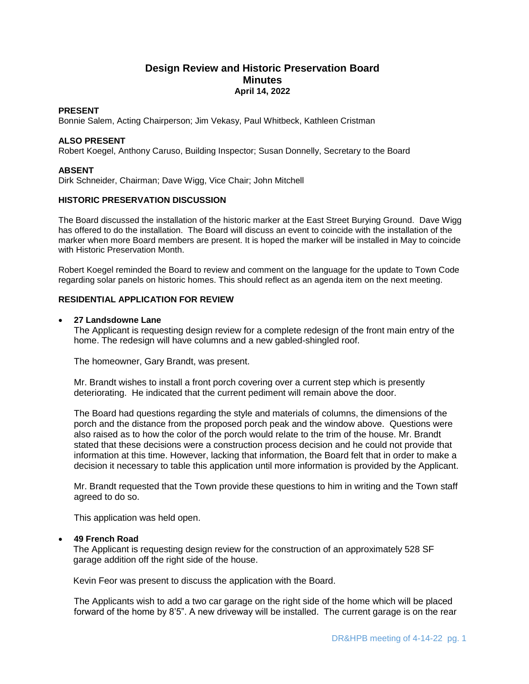# **Design Review and Historic Preservation Board Minutes April 14, 2022**

### **PRESENT**

Bonnie Salem, Acting Chairperson; Jim Vekasy, Paul Whitbeck, Kathleen Cristman

#### **ALSO PRESENT**

Robert Koegel, Anthony Caruso, Building Inspector; Susan Donnelly, Secretary to the Board

#### **ABSENT**

Dirk Schneider, Chairman; Dave Wigg, Vice Chair; John Mitchell

## **HISTORIC PRESERVATION DISCUSSION**

The Board discussed the installation of the historic marker at the East Street Burying Ground. Dave Wigg has offered to do the installation. The Board will discuss an event to coincide with the installation of the marker when more Board members are present. It is hoped the marker will be installed in May to coincide with Historic Preservation Month.

Robert Koegel reminded the Board to review and comment on the language for the update to Town Code regarding solar panels on historic homes. This should reflect as an agenda item on the next meeting.

## **RESIDENTIAL APPLICATION FOR REVIEW**

## **27 Landsdowne Lane**

The Applicant is requesting design review for a complete redesign of the front main entry of the home. The redesign will have columns and a new gabled-shingled roof.

The homeowner, Gary Brandt, was present.

Mr. Brandt wishes to install a front porch covering over a current step which is presently deteriorating. He indicated that the current pediment will remain above the door.

The Board had questions regarding the style and materials of columns, the dimensions of the porch and the distance from the proposed porch peak and the window above. Questions were also raised as to how the color of the porch would relate to the trim of the house. Mr. Brandt stated that these decisions were a construction process decision and he could not provide that information at this time. However, lacking that information, the Board felt that in order to make a decision it necessary to table this application until more information is provided by the Applicant.

Mr. Brandt requested that the Town provide these questions to him in writing and the Town staff agreed to do so.

This application was held open.

#### **49 French Road**

 The Applicant is requesting design review for the construction of an approximately 528 SF garage addition off the right side of the house.

Kevin Feor was present to discuss the application with the Board.

The Applicants wish to add a two car garage on the right side of the home which will be placed forward of the home by 8'5". A new driveway will be installed. The current garage is on the rear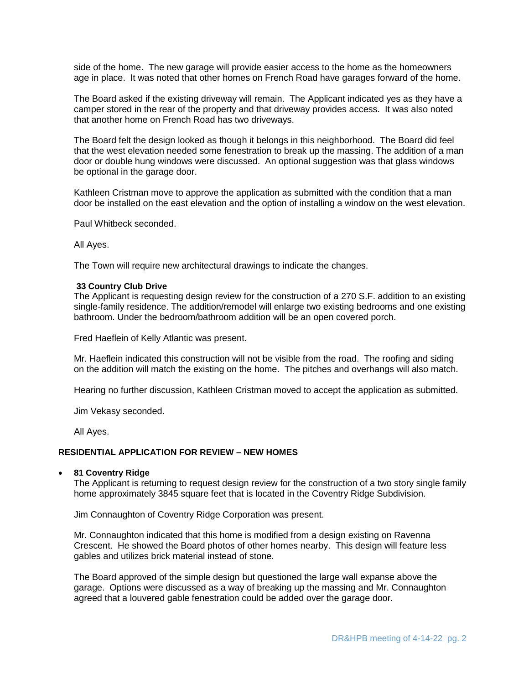side of the home. The new garage will provide easier access to the home as the homeowners age in place. It was noted that other homes on French Road have garages forward of the home.

The Board asked if the existing driveway will remain. The Applicant indicated yes as they have a camper stored in the rear of the property and that driveway provides access. It was also noted that another home on French Road has two driveways.

The Board felt the design looked as though it belongs in this neighborhood. The Board did feel that the west elevation needed some fenestration to break up the massing. The addition of a man door or double hung windows were discussed. An optional suggestion was that glass windows be optional in the garage door.

Kathleen Cristman move to approve the application as submitted with the condition that a man door be installed on the east elevation and the option of installing a window on the west elevation.

Paul Whitbeck seconded.

All Ayes.

The Town will require new architectural drawings to indicate the changes.

#### **33 Country Club Drive**

The Applicant is requesting design review for the construction of a 270 S.F. addition to an existing single-family residence. The addition/remodel will enlarge two existing bedrooms and one existing bathroom. Under the bedroom/bathroom addition will be an open covered porch.

Fred Haeflein of Kelly Atlantic was present.

Mr. Haeflein indicated this construction will not be visible from the road. The roofing and siding on the addition will match the existing on the home. The pitches and overhangs will also match.

Hearing no further discussion, Kathleen Cristman moved to accept the application as submitted.

Jim Vekasy seconded.

All Ayes.

## **RESIDENTIAL APPLICATION FOR REVIEW – NEW HOMES**

#### **81 Coventry Ridge**

The Applicant is returning to request design review for the construction of a two story single family home approximately 3845 square feet that is located in the Coventry Ridge Subdivision.

Jim Connaughton of Coventry Ridge Corporation was present.

Mr. Connaughton indicated that this home is modified from a design existing on Ravenna Crescent. He showed the Board photos of other homes nearby. This design will feature less gables and utilizes brick material instead of stone.

The Board approved of the simple design but questioned the large wall expanse above the garage. Options were discussed as a way of breaking up the massing and Mr. Connaughton agreed that a louvered gable fenestration could be added over the garage door.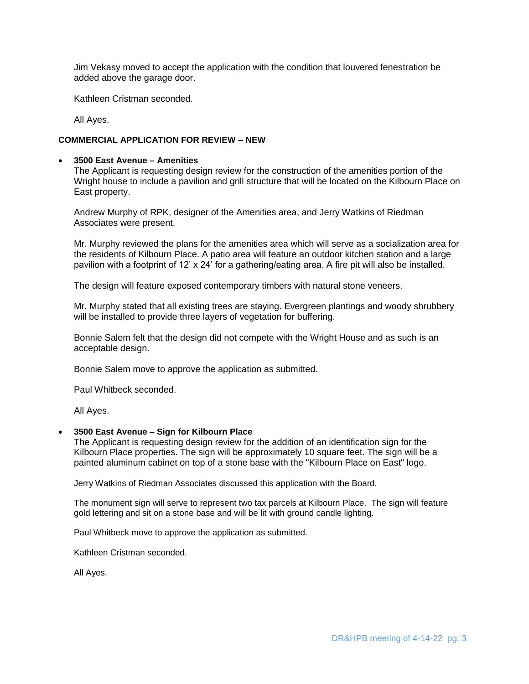Jim Vekasy moved to accept the application with the condition that louvered fenestration be added above the garage door.

Kathleen Cristman seconded.

All Ayes.

## **COMMERCIAL APPLICATION FOR REVIEW – NEW**

## **3500 East Avenue – Amenities**

The Applicant is requesting design review for the construction of the amenities portion of the Wright house to include a pavilion and grill structure that will be located on the Kilbourn Place on East property.

Andrew Murphy of RPK, designer of the Amenities area, and Jerry Watkins of Riedman Associates were present.

Mr. Murphy reviewed the plans for the amenities area which will serve as a socialization area for the residents of Kilbourn Place. A patio area will feature an outdoor kitchen station and a large pavilion with a footprint of 12' x 24' for a gathering/eating area. A fire pit will also be installed.

The design will feature exposed contemporary timbers with natural stone veneers.

Mr. Murphy stated that all existing trees are staying. Evergreen plantings and woody shrubbery will be installed to provide three layers of vegetation for buffering.

Bonnie Salem felt that the design did not compete with the Wright House and as such is an acceptable design.

Bonnie Salem move to approve the application as submitted.

Paul Whitbeck seconded.

All Ayes.

### **3500 East Avenue – Sign for Kilbourn Place**

The Applicant is requesting design review for the addition of an identification sign for the Kilbourn Place properties. The sign will be approximately 10 square feet. The sign will be a painted aluminum cabinet on top of a stone base with the "Kilbourn Place on East" logo.

Jerry Watkins of Riedman Associates discussed this application with the Board.

The monument sign will serve to represent two tax parcels at Kilbourn Place. The sign will feature gold lettering and sit on a stone base and will be lit with ground candle lighting.

Paul Whitbeck move to approve the application as submitted.

Kathleen Cristman seconded.

All Ayes.